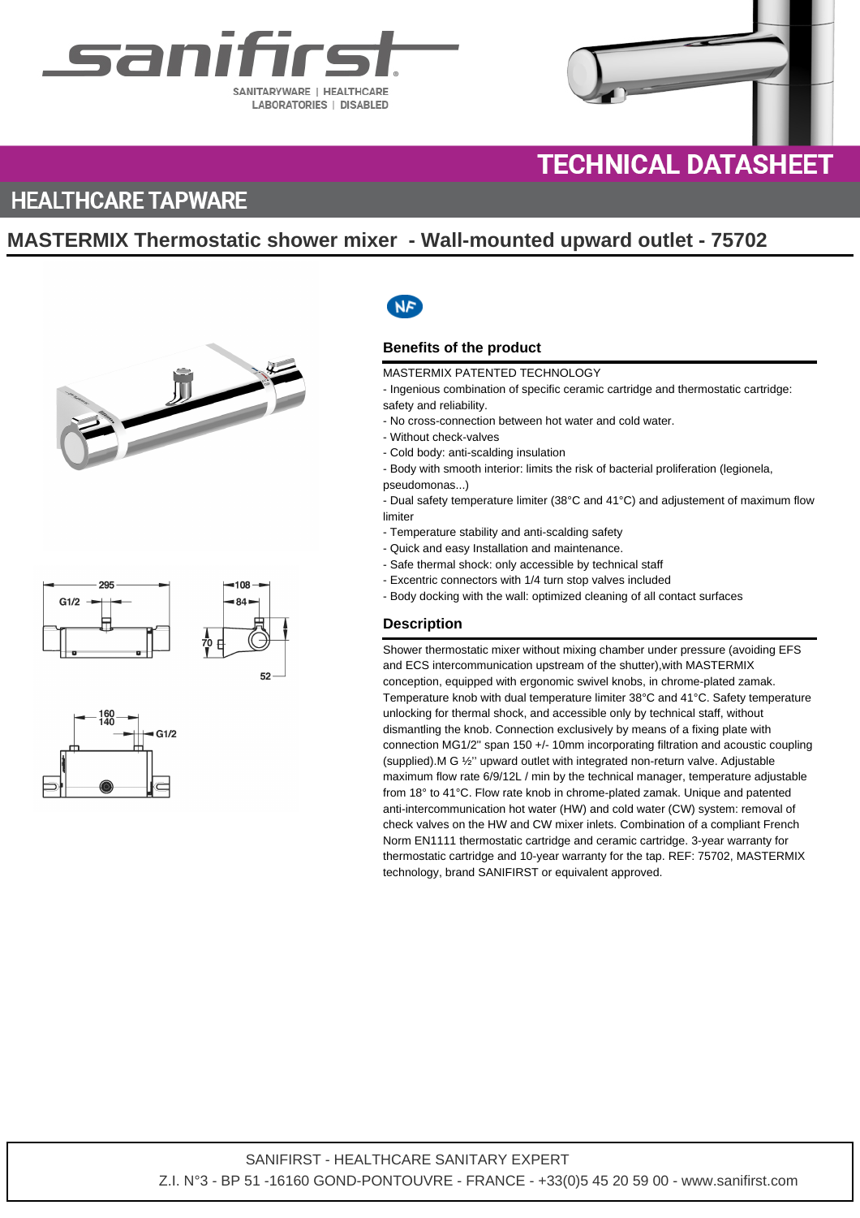



# **TECHNICAL DATASHEET**

### **HEALTHCARE TAPWARE**

### **MASTERMIX Thermostatic shower mixer - Wall-mounted upward outlet - 75702**







## **NF**

### **Benefits of the product**

#### MASTERMIX PATENTED TECHNOLOGY

- Ingenious combination of specific ceramic cartridge and thermostatic cartridge: safety and reliability.

- No cross-connection between hot water and cold water.
- Without check-valves
- Cold body: anti-scalding insulation
- Body with smooth interior: limits the risk of bacterial proliferation (legionela,
- pseudomonas...)

- Dual safety temperature limiter (38°C and 41°C) and adjustement of maximum flow limiter

- Temperature stability and anti-scalding safety
- Quick and easy Installation and maintenance.
- Safe thermal shock: only accessible by technical staff
- Excentric connectors with 1/4 turn stop valves included
- Body docking with the wall: optimized cleaning of all contact surfaces

### **Description**

Shower thermostatic mixer without mixing chamber under pressure (avoiding EFS and ECS intercommunication upstream of the shutter),with MASTERMIX conception, equipped with ergonomic swivel knobs, in chrome-plated zamak. Temperature knob with dual temperature limiter 38°C and 41°C. Safety temperature unlocking for thermal shock, and accessible only by technical staff, without dismantling the knob. Connection exclusively by means of a fixing plate with connection MG1/2'' span 150 +/- 10mm incorporating filtration and acoustic coupling (supplied).M G ½'' upward outlet with integrated non-return valve. Adjustable maximum flow rate 6/9/12L / min by the technical manager, temperature adjustable from 18° to 41°C. Flow rate knob in chrome-plated zamak. Unique and patented anti-intercommunication hot water (HW) and cold water (CW) system: removal of check valves on the HW and CW mixer inlets. Combination of a compliant French Norm EN1111 thermostatic cartridge and ceramic cartridge. 3-year warranty for thermostatic cartridge and 10-year warranty for the tap. REF: 75702, MASTERMIX technology, brand SANIFIRST or equivalent approved.